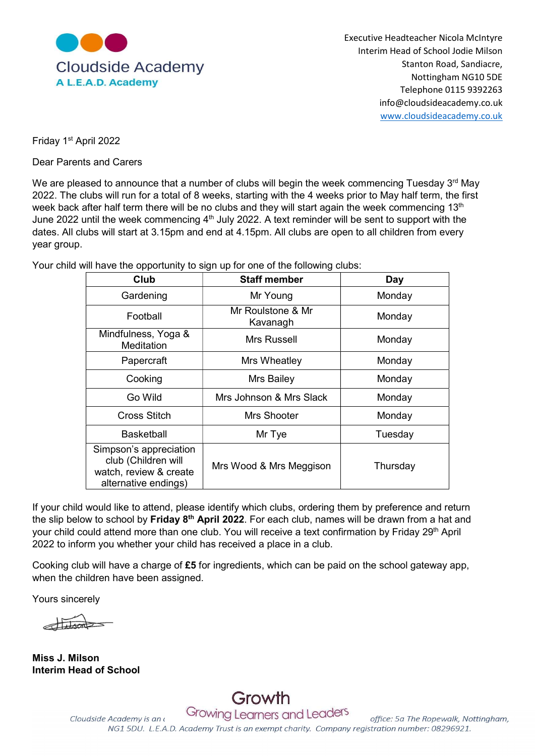

Executive Headteacher Nicola McIntyre Interim Head of School Jodie Milson Nottingham NG10 5DE Telephone 0115 9392263 info@cloudsideacademy.co.uk www.cloudsideacademy.co.uk

Friday 1st April 2022

Dear Parents and Carers

We are pleased to announce that a number of clubs will begin the week commencing Tuesday  $3<sup>rd</sup>$  May 2022. The clubs will run for a total of 8 weeks, starting with the 4 weeks prior to May half term, the first week back after half term there will be no clubs and they will start again the week commencing 13<sup>th</sup> June 2022 until the week commencing 4<sup>th</sup> July 2022. A text reminder will be sent to support with the dates. All clubs will start at 3.15pm and end at 4.15pm. All clubs are open to all children from every year group.

Your child will have the opportunity to sign up for one of the following clubs:

| Club                                                                                            | <b>Staff member</b>           | Day      |
|-------------------------------------------------------------------------------------------------|-------------------------------|----------|
| Gardening                                                                                       | Mr Young                      | Monday   |
| Football                                                                                        | Mr Roulstone & Mr<br>Kavanagh | Monday   |
| Mindfulness, Yoga &<br>Meditation                                                               | Mrs Russell                   | Monday   |
| Papercraft                                                                                      | Mrs Wheatley                  | Monday   |
| Cooking                                                                                         | Mrs Bailey                    | Monday   |
| Go Wild                                                                                         | Mrs Johnson & Mrs Slack       | Monday   |
| Cross Stitch                                                                                    | Mrs Shooter                   | Monday   |
| <b>Basketball</b>                                                                               | Mr Tye                        | Tuesday  |
| Simpson's appreciation<br>club (Children will<br>watch, review & create<br>alternative endings) | Mrs Wood & Mrs Meggison       | Thursday |

If your child would like to attend, please identify which clubs, ordering them by preference and return the slip below to school by Friday 8<sup>th</sup> April 2022. For each club, names will be drawn from a hat and your child could attend more than one club. You will receive a text confirmation by Friday 29<sup>th</sup> April 2022 to inform you whether your child has received a place in a club.

Cooking club will have a charge of £5 for ingredients, which can be paid on the school gateway app, when the children have been assigned.

Yours sincerely

Miss J. Milson Interim Head of School

Growing Learners and Leaders Cloudside Academy is an a office: 5a The Ropewalk, Nottingham, NG1 5DU. L.E.A.D. Academy Trust is an exempt charity. Company registration number: 08296921.

Growth